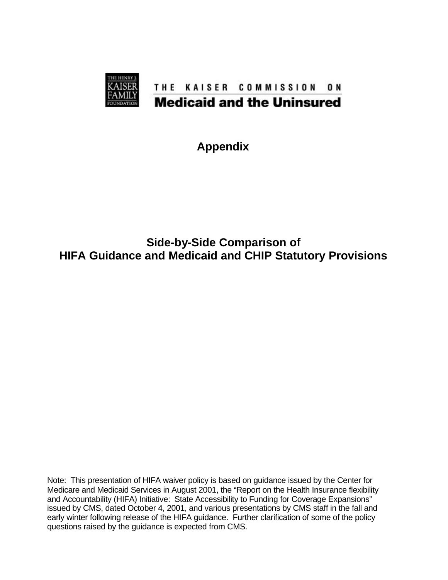

**Appendix**

#### **Side-by-Side Comparison of HIFA Guidance and Medicaid and CHIP Statutory Provisions**

Note: This presentation of HIFA waiver policy is based on guidance issued by the Center for Medicare and Medicaid Services in August 2001, the "Report on the Health Insurance flexibility and Accountability (HIFA) Initiative: State Accessibility to Funding for Coverage Expansions" issued by CMS, dated October 4, 2001, and various presentations by CMS staff in the fall and early winter following release of the HIFA guidance. Further clarification of some of the policy questions raised by the guidance is expected from CMS.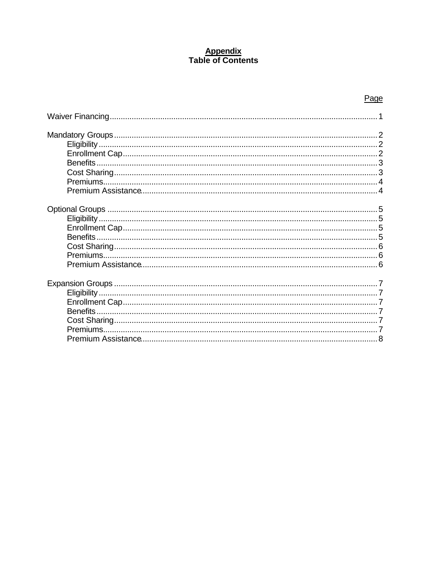# **Appendix**<br>Table of Contents

| <b>Benefits</b> |
|-----------------|
| <b>Benefits</b> |
|                 |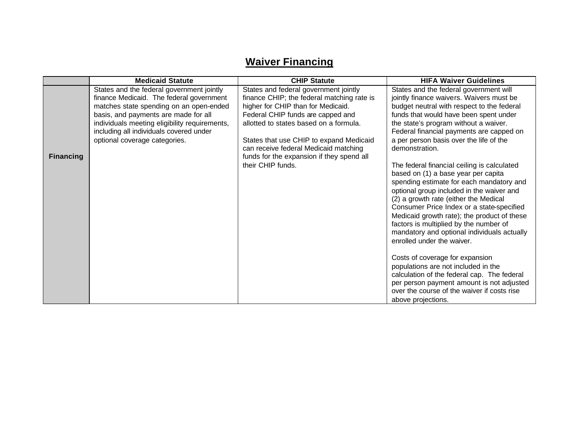## **Waiver Financing**

|                  | <b>Medicaid Statute</b>                                                                                                                                                                                                                                                                               | <b>CHIP Statute</b>                                                                                                                                                                                                                                                                                                                       | <b>HIFA Waiver Guidelines</b>                                                                                                                                                                                                                                                                                                                                                                                                           |
|------------------|-------------------------------------------------------------------------------------------------------------------------------------------------------------------------------------------------------------------------------------------------------------------------------------------------------|-------------------------------------------------------------------------------------------------------------------------------------------------------------------------------------------------------------------------------------------------------------------------------------------------------------------------------------------|-----------------------------------------------------------------------------------------------------------------------------------------------------------------------------------------------------------------------------------------------------------------------------------------------------------------------------------------------------------------------------------------------------------------------------------------|
| <b>Financing</b> | States and the federal government jointly<br>finance Medicaid. The federal government<br>matches state spending on an open-ended<br>basis, and payments are made for all<br>individuals meeting eligibility requirements,<br>including all individuals covered under<br>optional coverage categories. | States and federal government jointly<br>finance CHIP; the federal matching rate is<br>higher for CHIP than for Medicaid.<br>Federal CHIP funds are capped and<br>allotted to states based on a formula.<br>States that use CHIP to expand Medicaid<br>can receive federal Medicaid matching<br>funds for the expansion if they spend all | States and the federal government will<br>jointly finance waivers. Waivers must be<br>budget neutral with respect to the federal<br>funds that would have been spent under<br>the state's program without a waiver.<br>Federal financial payments are capped on<br>a per person basis over the life of the<br>demonstration.                                                                                                            |
|                  |                                                                                                                                                                                                                                                                                                       | their CHIP funds.                                                                                                                                                                                                                                                                                                                         | The federal financial ceiling is calculated<br>based on (1) a base year per capita<br>spending estimate for each mandatory and<br>optional group included in the waiver and<br>(2) a growth rate (either the Medical<br>Consumer Price Index or a state-specified<br>Medicaid growth rate); the product of these<br>factors is multiplied by the number of<br>mandatory and optional individuals actually<br>enrolled under the waiver. |
|                  |                                                                                                                                                                                                                                                                                                       |                                                                                                                                                                                                                                                                                                                                           | Costs of coverage for expansion<br>populations are not included in the<br>calculation of the federal cap. The federal<br>per person payment amount is not adjusted<br>over the course of the waiver if costs rise<br>above projections.                                                                                                                                                                                                 |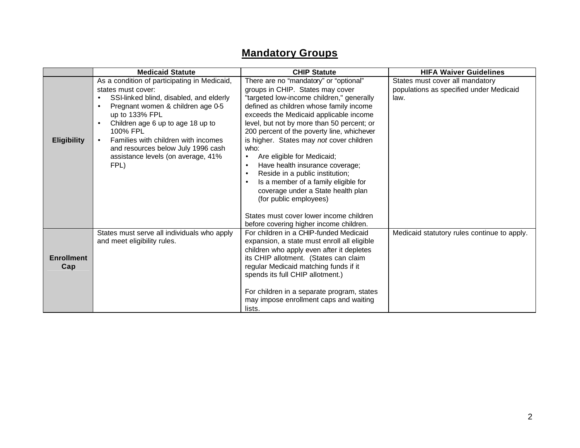## **Mandatory Groups**

|                          | <b>Medicaid Statute</b>                                                                                                                                                                                                                                                                                                                                                    | <b>CHIP Statute</b>                                                                                                                                                                                                                                                                                                                                                                                                                                                                                                                                                                                                              | <b>HIFA Waiver Guidelines</b>                                                      |
|--------------------------|----------------------------------------------------------------------------------------------------------------------------------------------------------------------------------------------------------------------------------------------------------------------------------------------------------------------------------------------------------------------------|----------------------------------------------------------------------------------------------------------------------------------------------------------------------------------------------------------------------------------------------------------------------------------------------------------------------------------------------------------------------------------------------------------------------------------------------------------------------------------------------------------------------------------------------------------------------------------------------------------------------------------|------------------------------------------------------------------------------------|
| <b>Eligibility</b>       | As a condition of participating in Medicaid,<br>states must cover:<br>SSI-linked blind, disabled, and elderly<br>Pregnant women & children age 0-5<br>$\bullet$<br>up to 133% FPL<br>Children age 6 up to age 18 up to<br>$\bullet$<br>100% FPL<br>Families with children with incomes<br>and resources below July 1996 cash<br>assistance levels (on average, 41%<br>FPL) | There are no "mandatory" or "optional"<br>groups in CHIP. States may cover<br>"targeted low-income children," generally<br>defined as children whose family income<br>exceeds the Medicaid applicable income<br>level, but not by more than 50 percent; or<br>200 percent of the poverty line, whichever<br>is higher. States may not cover children<br>who:<br>Are eligible for Medicaid;<br>$\bullet$<br>Have health insurance coverage;<br>Reside in a public institution;<br>Is a member of a family eligible for<br>coverage under a State health plan<br>(for public employees)<br>States must cover lower income children | States must cover all mandatory<br>populations as specified under Medicaid<br>law. |
| <b>Enrollment</b><br>Cap | States must serve all individuals who apply<br>and meet eligibility rules.                                                                                                                                                                                                                                                                                                 | before covering higher income children.<br>For children in a CHIP-funded Medicaid<br>expansion, a state must enroll all eligible<br>children who apply even after it depletes<br>its CHIP allotment. (States can claim<br>regular Medicaid matching funds if it<br>spends its full CHIP allotment.)<br>For children in a separate program, states<br>may impose enrollment caps and waiting<br>lists.                                                                                                                                                                                                                            | Medicaid statutory rules continue to apply.                                        |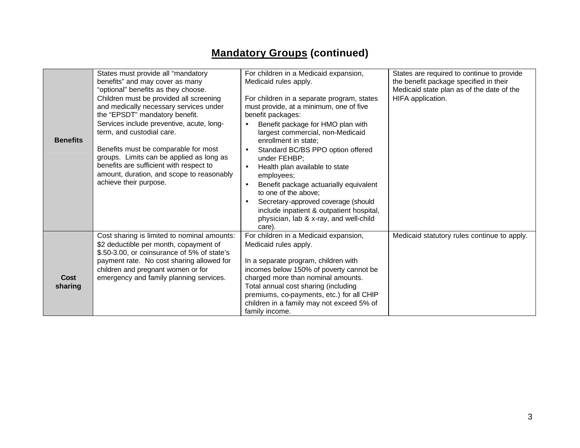## **Mandatory Groups (continued)**

| <b>Benefits</b> | States must provide all "mandatory<br>benefits" and may cover as many<br>"optional" benefits as they choose.<br>Children must be provided all screening<br>and medically necessary services under<br>the "EPSDT" mandatory benefit.<br>Services include preventive, acute, long-<br>term, and custodial care.<br>Benefits must be comparable for most<br>groups. Limits can be applied as long as<br>benefits are sufficient with respect to<br>amount, duration, and scope to reasonably<br>achieve their purpose. | For children in a Medicaid expansion,<br>Medicaid rules apply.<br>For children in a separate program, states<br>must provide, at a minimum, one of five<br>benefit packages:<br>Benefit package for HMO plan with<br>largest commercial, non-Medicaid<br>enrollment in state;<br>Standard BC/BS PPO option offered<br>under FEHBP;<br>Health plan available to state<br>$\bullet$<br>employees;<br>Benefit package actuarially equivalent<br>to one of the above;<br>Secretary-approved coverage (should<br>include inpatient & outpatient hospital,<br>physician, lab & x-ray, and well-child<br>care). | States are required to continue to provide<br>the benefit package specified in their<br>Medicaid state plan as of the date of the<br>HIFA application. |
|-----------------|---------------------------------------------------------------------------------------------------------------------------------------------------------------------------------------------------------------------------------------------------------------------------------------------------------------------------------------------------------------------------------------------------------------------------------------------------------------------------------------------------------------------|----------------------------------------------------------------------------------------------------------------------------------------------------------------------------------------------------------------------------------------------------------------------------------------------------------------------------------------------------------------------------------------------------------------------------------------------------------------------------------------------------------------------------------------------------------------------------------------------------------|--------------------------------------------------------------------------------------------------------------------------------------------------------|
| Cost<br>sharing | Cost sharing is limited to nominal amounts:<br>\$2 deductible per month, copayment of<br>\$.50-3.00, or coinsurance of 5% of state's<br>payment rate. No cost sharing allowed for<br>children and pregnant women or for<br>emergency and family planning services.                                                                                                                                                                                                                                                  | For children in a Medicaid expansion,<br>Medicaid rules apply.<br>In a separate program, children with<br>incomes below 150% of poverty cannot be<br>charged more than nominal amounts.<br>Total annual cost sharing (including<br>premiums, co-payments, etc.) for all CHIP<br>children in a family may not exceed 5% of<br>family income.                                                                                                                                                                                                                                                              | Medicaid statutory rules continue to apply.                                                                                                            |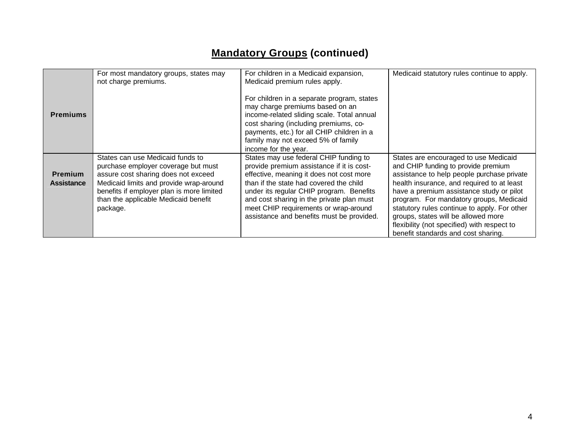## **Mandatory Groups (continued)**

|                                     | For most mandatory groups, states may<br>not charge premiums.                                                                                                                                                                                              | For children in a Medicaid expansion,<br>Medicaid premium rules apply.                                                                                                                                                                                                                                                                                    | Medicaid statutory rules continue to apply.                                                                                                                                                                                                                                                                                                                                                                                                  |
|-------------------------------------|------------------------------------------------------------------------------------------------------------------------------------------------------------------------------------------------------------------------------------------------------------|-----------------------------------------------------------------------------------------------------------------------------------------------------------------------------------------------------------------------------------------------------------------------------------------------------------------------------------------------------------|----------------------------------------------------------------------------------------------------------------------------------------------------------------------------------------------------------------------------------------------------------------------------------------------------------------------------------------------------------------------------------------------------------------------------------------------|
| <b>Premiums</b>                     |                                                                                                                                                                                                                                                            | For children in a separate program, states<br>may charge premiums based on an<br>income-related sliding scale. Total annual<br>cost sharing (including premiums, co-<br>payments, etc.) for all CHIP children in a<br>family may not exceed 5% of family<br>income for the year.                                                                          |                                                                                                                                                                                                                                                                                                                                                                                                                                              |
| <b>Premium</b><br><b>Assistance</b> | States can use Medicaid funds to<br>purchase employer coverage but must<br>assure cost sharing does not exceed<br>Medicaid limits and provide wrap-around<br>benefits if employer plan is more limited<br>than the applicable Medicaid benefit<br>package. | States may use federal CHIP funding to<br>provide premium assistance if it is cost-<br>effective, meaning it does not cost more<br>than if the state had covered the child<br>under its regular CHIP program. Benefits<br>and cost sharing in the private plan must<br>meet CHIP requirements or wrap-around<br>assistance and benefits must be provided. | States are encouraged to use Medicaid<br>and CHIP funding to provide premium<br>assistance to help people purchase private<br>health insurance, and required to at least<br>have a premium assistance study or pilot<br>program. For mandatory groups, Medicaid<br>statutory rules continue to apply. For other<br>groups, states will be allowed more<br>flexibility (not specified) with respect to<br>benefit standards and cost sharing. |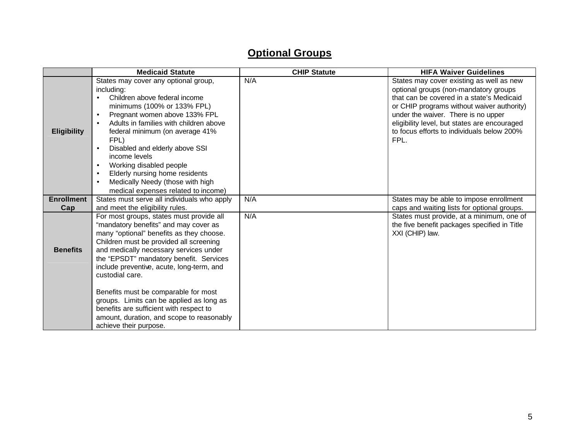## **Optional Groups**

|                          | <b>Medicaid Statute</b>                                                                                                                                                                                                                                                                                                                                                                                                                                                                                           | <b>CHIP Statute</b> | <b>HIFA Waiver Guidelines</b>                                                                                                                                                                                                                                                                                             |
|--------------------------|-------------------------------------------------------------------------------------------------------------------------------------------------------------------------------------------------------------------------------------------------------------------------------------------------------------------------------------------------------------------------------------------------------------------------------------------------------------------------------------------------------------------|---------------------|---------------------------------------------------------------------------------------------------------------------------------------------------------------------------------------------------------------------------------------------------------------------------------------------------------------------------|
| <b>Eligibility</b>       | States may cover any optional group,<br>including:<br>Children above federal income<br>minimums (100% or 133% FPL)<br>Pregnant women above 133% FPL<br>$\bullet$<br>Adults in families with children above<br>$\bullet$<br>federal minimum (on average 41%<br>FPL)<br>Disabled and elderly above SSI<br>$\bullet$<br>income levels<br>Working disabled people<br>$\bullet$<br>Elderly nursing home residents<br>$\bullet$<br>Medically Needy (those with high<br>$\bullet$<br>medical expenses related to income) | N/A                 | States may cover existing as well as new<br>optional groups (non-mandatory groups<br>that can be covered in a state's Medicaid<br>or CHIP programs without waiver authority)<br>under the waiver. There is no upper<br>eligibility level, but states are encouraged<br>to focus efforts to individuals below 200%<br>FPL. |
| <b>Enrollment</b><br>Cap | States must serve all individuals who apply<br>and meet the eligibility rules.                                                                                                                                                                                                                                                                                                                                                                                                                                    | N/A                 | States may be able to impose enrollment<br>caps and waiting lists for optional groups.                                                                                                                                                                                                                                    |
| <b>Benefits</b>          | For most groups, states must provide all<br>"mandatory benefits" and may cover as<br>many "optional" benefits as they choose.<br>Children must be provided all screening<br>and medically necessary services under<br>the "EPSDT" mandatory benefit. Services<br>include preventive, acute, long-term, and<br>custodial care.                                                                                                                                                                                     | N/A                 | States must provide, at a minimum, one of<br>the five benefit packages specified in Title<br>XXI (CHIP) law.                                                                                                                                                                                                              |
|                          | Benefits must be comparable for most<br>groups. Limits can be applied as long as<br>benefits are sufficient with respect to<br>amount, duration, and scope to reasonably<br>achieve their purpose.                                                                                                                                                                                                                                                                                                                |                     |                                                                                                                                                                                                                                                                                                                           |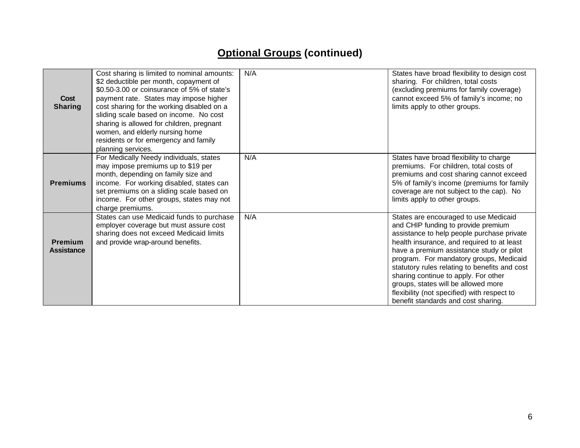## **Optional Groups (continued)**

| <b>Cost</b><br><b>Sharing</b>       | Cost sharing is limited to nominal amounts:<br>\$2 deductible per month, copayment of<br>\$0.50-3.00 or coinsurance of 5% of state's<br>payment rate. States may impose higher<br>cost sharing for the working disabled on a<br>sliding scale based on income. No cost<br>sharing is allowed for children, pregnant<br>women, and elderly nursing home<br>residents or for emergency and family<br>planning services. | N/A | States have broad flexibility to design cost<br>sharing. For children, total costs<br>(excluding premiums for family coverage)<br>cannot exceed 5% of family's income; no<br>limits apply to other groups.                                                                                                                                                                                                                                                                            |
|-------------------------------------|-----------------------------------------------------------------------------------------------------------------------------------------------------------------------------------------------------------------------------------------------------------------------------------------------------------------------------------------------------------------------------------------------------------------------|-----|---------------------------------------------------------------------------------------------------------------------------------------------------------------------------------------------------------------------------------------------------------------------------------------------------------------------------------------------------------------------------------------------------------------------------------------------------------------------------------------|
| <b>Premiums</b>                     | For Medically Needy individuals, states<br>may impose premiums up to \$19 per<br>month, depending on family size and<br>income. For working disabled, states can<br>set premiums on a sliding scale based on<br>income. For other groups, states may not<br>charge premiums.                                                                                                                                          | N/A | States have broad flexibility to charge<br>premiums. For children, total costs of<br>premiums and cost sharing cannot exceed<br>5% of family's income (premiums for family<br>coverage are not subject to the cap). No<br>limits apply to other groups.                                                                                                                                                                                                                               |
| <b>Premium</b><br><b>Assistance</b> | States can use Medicaid funds to purchase<br>employer coverage but must assure cost<br>sharing does not exceed Medicaid limits<br>and provide wrap-around benefits.                                                                                                                                                                                                                                                   | N/A | States are encouraged to use Medicaid<br>and CHIP funding to provide premium<br>assistance to help people purchase private<br>health insurance, and required to at least<br>have a premium assistance study or pilot<br>program. For mandatory groups, Medicaid<br>statutory rules relating to benefits and cost<br>sharing continue to apply. For other<br>groups, states will be allowed more<br>flexibility (not specified) with respect to<br>benefit standards and cost sharing. |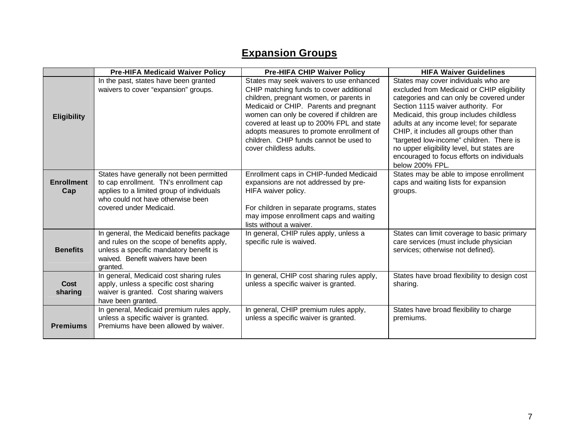## **Expansion Groups**

|                          | <b>Pre-HIFA Medicaid Waiver Policy</b>                                                                                                                                                          | <b>Pre-HIFA CHIP Waiver Policy</b>                                                                                                                                                                                                                                                                                                                                                 | <b>HIFA Waiver Guidelines</b>                                                                                                                                                                                                                                                                                                                                                                                                                                     |
|--------------------------|-------------------------------------------------------------------------------------------------------------------------------------------------------------------------------------------------|------------------------------------------------------------------------------------------------------------------------------------------------------------------------------------------------------------------------------------------------------------------------------------------------------------------------------------------------------------------------------------|-------------------------------------------------------------------------------------------------------------------------------------------------------------------------------------------------------------------------------------------------------------------------------------------------------------------------------------------------------------------------------------------------------------------------------------------------------------------|
| <b>Eligibility</b>       | In the past, states have been granted<br>waivers to cover "expansion" groups.                                                                                                                   | States may seek waivers to use enhanced<br>CHIP matching funds to cover additional<br>children, pregnant women, or parents in<br>Medicaid or CHIP. Parents and pregnant<br>women can only be covered if children are<br>covered at least up to 200% FPL and state<br>adopts measures to promote enrollment of<br>children. CHIP funds cannot be used to<br>cover childless adults. | States may cover individuals who are<br>excluded from Medicaid or CHIP eligibility<br>categories and can only be covered under<br>Section 1115 waiver authority. For<br>Medicaid, this group includes childless<br>adults at any income level; for separate<br>CHIP, it includes all groups other than<br>"targeted low-income" children. There is<br>no upper eligibility level, but states are<br>encouraged to focus efforts on individuals<br>below 200% FPL. |
| <b>Enrollment</b><br>Cap | States have generally not been permitted<br>to cap enrollment. TN's enrollment cap<br>applies to a limited group of individuals<br>who could not have otherwise been<br>covered under Medicaid. | Enrollment caps in CHIP-funded Medicaid<br>expansions are not addressed by pre-<br>HIFA waiver policy.<br>For children in separate programs, states<br>may impose enrollment caps and waiting<br>lists without a waiver.                                                                                                                                                           | States may be able to impose enrollment<br>caps and waiting lists for expansion<br>groups.                                                                                                                                                                                                                                                                                                                                                                        |
| <b>Benefits</b>          | In general, the Medicaid benefits package<br>and rules on the scope of benefits apply,<br>unless a specific mandatory benefit is<br>waived. Benefit waivers have been<br>granted.               | In general, CHIP rules apply, unless a<br>specific rule is waived.                                                                                                                                                                                                                                                                                                                 | States can limit coverage to basic primary<br>care services (must include physician<br>services; otherwise not defined).                                                                                                                                                                                                                                                                                                                                          |
| Cost<br>sharing          | In general, Medicaid cost sharing rules<br>apply, unless a specific cost sharing<br>waiver is granted. Cost sharing waivers<br>have been granted.                                               | In general, CHIP cost sharing rules apply,<br>unless a specific waiver is granted.                                                                                                                                                                                                                                                                                                 | States have broad flexibility to design cost<br>sharing.                                                                                                                                                                                                                                                                                                                                                                                                          |
| <b>Premiums</b>          | In general, Medicaid premium rules apply,<br>unless a specific waiver is granted.<br>Premiums have been allowed by waiver.                                                                      | In general, CHIP premium rules apply,<br>unless a specific waiver is granted.                                                                                                                                                                                                                                                                                                      | States have broad flexibility to charge<br>premiums.                                                                                                                                                                                                                                                                                                                                                                                                              |